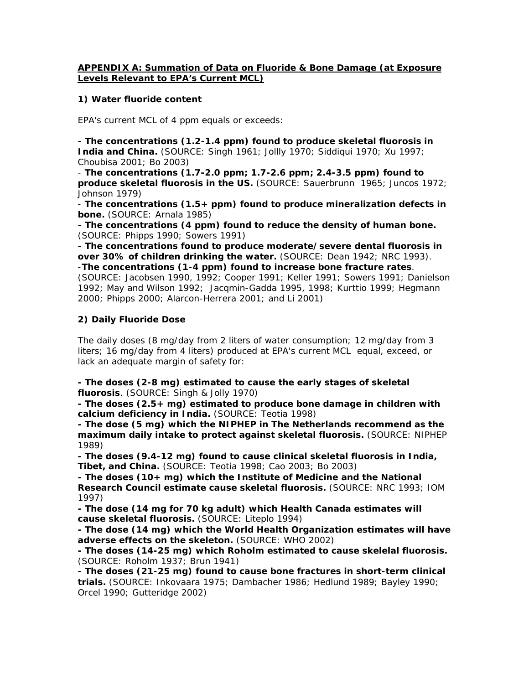# **APPENDIX A: Summation of Data on Fluoride & Bone Damage (at Exposure Levels Relevant to EPA's Current MCL)**

## **1) Water fluoride content**

*EPA's current MCL of 4 ppm equals or exceeds:*

**- The concentrations (1.2-1.4 ppm) found to produce skeletal fluorosis in India and China.** (SOURCE: *Singh 1961; Jollly 1970; Siddiqui 1970; Xu 1997; Choubisa 2001; Bo 2003*)

- **The concentrations (1.7-2.0 ppm; 1.7-2.6 ppm; 2.4-3.5 ppm) found to produce skeletal fluorosis in the US.** (SOURCE: *Sauerbrunn 1965; Juncos 1972; Johnson 1979*)

- **The concentrations (1.5+ ppm) found to produce mineralization defects in bone.** (SOURCE: *Arnala 1985*)

**- The concentrations (4 ppm) found to reduce the density of human bone.** (SOURCE: *Phipps 1990; Sowers 1991*)

**- The concentrations found to produce moderate/severe dental fluorosis in over 30% of children drinking the water.** (SOURCE: *Dean 1942; NRC 1993*). -**The concentrations (1-4 ppm) found to increase bone fracture rates***.*

*(*SOURCE: *Jacobsen 1990, 1992; Cooper 1991; Keller 1991; Sowers 1991; Danielson 1992; May and Wilson 1992; Jacqmin-Gadda 1995, 1998; Kurttio 1999; Hegmann 2000; Phipps 2000; Alarcon-Herrera 2001; and Li 2001)*

### **2) Daily Fluoride Dose**

*The daily doses (8 mg/day from 2 liters of water consumption; 12 mg/day from 3 liters; 16 mg/day from 4 liters) produced at EPA's current MCL equal, exceed, or lack an adequate margin of safety for:*

**- The doses (2-8 mg) estimated to cause the early stages of skeletal fluorosis**. (SOURCE: *Singh & Jolly 1970*)

**- The doses (2.5+ mg) estimated to produce bone damage in children with calcium deficiency in India.** (SOURCE: *Teotia 1998*)

**- The dose (5 mg) which the NIPHEP in The Netherlands recommend as the maximum daily intake to protect against skeletal fluorosis.** (SOURCE: *NIPHEP 1989*)

**- The doses (9.4-12 mg) found to cause clinical skeletal fluorosis in India, Tibet, and China.** (SOURCE: *Teotia 1998; Cao 2003; Bo 2003*)

**- The doses (10+ mg) which the Institute of Medicine and the National Research Council estimate cause skeletal fluorosis.** (SOURCE: *NRC 1993; IOM 1997*)

**- The dose (14 mg for 70 kg adult) which Health Canada estimates will cause skeletal fluorosis.** (SOURCE: *Liteplo 1994*)

**- The dose (14 mg) which the World Health Organization estimates will have adverse effects on the skeleton.** (SOURCE: *WHO 2002*)

**- The doses (14-25 mg) which Roholm estimated to cause skelelal fluorosis.** (SOURCE: *Roholm 1937; Brun 1941*)

**- The doses (21-25 mg) found to cause bone fractures in short-term clinical trials.** (SOURCE: *Inkovaara 1975; Dambacher 1986; Hedlund 1989; Bayley 1990; Orcel 1990; Gutteridge 2002*)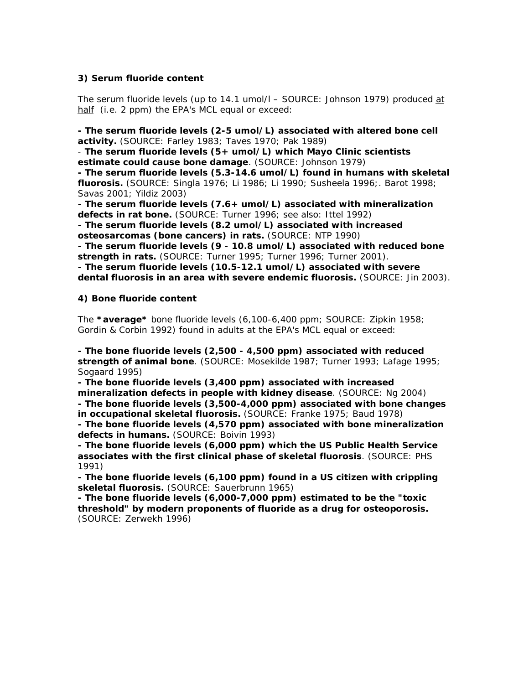#### **3) Serum fluoride content**

*The serum fluoride levels (up to 14.1 umol/l – SOURCE: Johnson 1979) produced at half (i.e. 2 ppm) the EPA's MCL equal or exceed:*

**- The serum fluoride levels (2-5 umol/L) associated with altered bone cell activity.** (SOURCE: *Farley 1983; Taves 1970; Pak 1989*)

- **The serum fluoride levels (5+ umol/L) which Mayo Clinic scientists estimate could cause bone damage**. (SOURCE: *Johnson 1979*)

**- The serum fluoride levels (5.3-14.6 umol/L) found in humans with skeletal fluorosis.** (SOURCE: *Singla 1976; Li 1986; Li 1990; Susheela 1996;. Barot 1998; Savas 2001; Yildiz 2003*)

**- The serum fluoride levels (7.6+ umol/L) associated with mineralization defects in rat bone.** (SOURCE: *Turner 1996; see also: Ittel 1992*)

**- The serum fluoride levels (8.2 umol/L) associated with increased osteosarcomas (bone cancers) in rats.** (SOURCE: *NTP 1990*)

**- The serum fluoride levels (9 - 10.8 umol/L) associated with reduced bone strength in rats.** (SOURCE: *Turner 1995; Turner 1996; Turner 2001*).

**- The serum fluoride levels (10.5-12.1 umol/L) associated with severe dental fluorosis in an area with severe endemic fluorosis.** (SOURCE: *Jin 2003*).

### **4) Bone fluoride content**

*The \*average\* bone fluoride levels (6,100-6,400 ppm; SOURCE: Zipkin 1958; Gordin & Corbin 1992) found in adults at the EPA's MCL equal or exceed:*

**- The bone fluoride levels (2,500 - 4,500 ppm) associated with reduced strength of animal bone**. (SOURCE: *Mosekilde 1987; Turner 1993; Lafage 1995; Sogaard 1995*)

**- The bone fluoride levels (3,400 ppm) associated with increased mineralization defects in people with kidney disease**. (SOURCE: *Ng 2004*)

**- The bone fluoride levels (3,500-4,000 ppm) associated with bone changes in occupational skeletal fluorosis.** (SOURCE: *Franke 1975; Baud 1978*)

**- The bone fluoride levels (4,570 ppm) associated with bone mineralization defects in humans.** (SOURCE: *Boivin 1993*)

**- The bone fluoride levels (6,000 ppm) which the US Public Health Service associates with the first clinical phase of skeletal fluorosis**. (SOURCE: *PHS 1991*)

**- The bone fluoride levels (6,100 ppm) found in a US citizen with crippling skeletal fluorosis.** (SOURCE: *Sauerbrunn 1965*)

**- The bone fluoride levels (6,000-7,000 ppm) estimated to be the "toxic threshold" by modern proponents of fluoride as a drug for osteoporosis.** (SOURCE: *Zerwekh 1996*)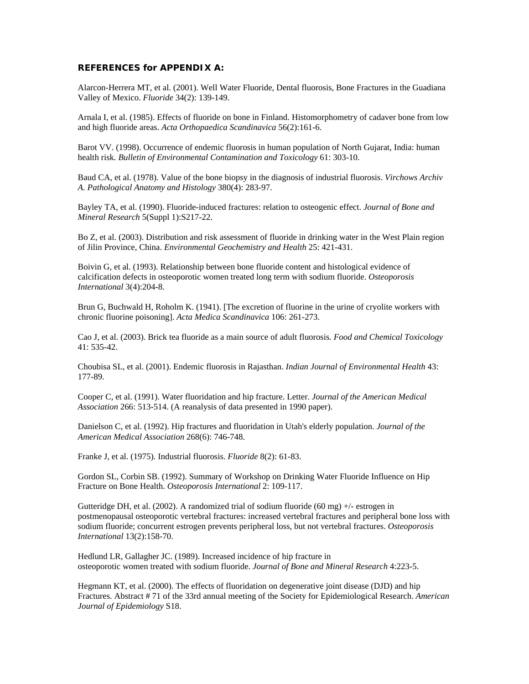## **REFERENCES for APPENDIX A:**

Alarcon-Herrera MT, et al. (2001). Well Water Fluoride, Dental fluorosis, Bone Fractures in the Guadiana Valley of Mexico. *Fluoride* 34(2): 139-149.

Arnala I, et al. (1985). Effects of fluoride on bone in Finland. Histomorphometry of cadaver bone from low and high fluoride areas. *Acta Orthopaedica Scandinavica* 56(2):161-6.

Barot VV. (1998). Occurrence of endemic fluorosis in human population of North Gujarat, India: human health risk*. Bulletin of Environmental Contamination and Toxicology* 61: 303-10.

Baud CA, et al. (1978). Value of the bone biopsy in the diagnosis of industrial fluorosis. *Virchows Archiv A. Pathological Anatomy and Histology* 380(4): 283-97.

Bayley TA, et al. (1990). Fluoride-induced fractures: relation to osteogenic effect. *Journal of Bone and Mineral Research* 5(Suppl 1):S217-22.

Bo Z, et al. (2003). Distribution and risk assessment of fluoride in drinking water in the West Plain region of Jilin Province, China. *Environmental Geochemistry and Health* 25: 421-431.

Boivin G, et al. (1993). Relationship between bone fluoride content and histological evidence of calcification defects in osteoporotic women treated long term with sodium fluoride. *Osteoporosis International* 3(4):204-8.

Brun G, Buchwald H, Roholm K. (1941). [The excretion of fluorine in the urine of cryolite workers with chronic fluorine poisoning]. *Acta Medica Scandinavica* 106: 261-273.

Cao J, et al. (2003). Brick tea fluoride as a main source of adult fluorosis*. Food and Chemical Toxicology* 41: 535-42.

Choubisa SL, et al. (2001). Endemic fluorosis in Rajasthan. *Indian Journal of Environmental Health* 43: 177-89.

Cooper C, et al. (1991). Water fluoridation and hip fracture. Letter. *Journal of the American Medical Association* 266: 513-514. (A reanalysis of data presented in 1990 paper).

Danielson C, et al. (1992). Hip fractures and fluoridation in Utah's elderly population. *Journal of the American Medical Association* 268(6): 746-748.

Franke J, et al. (1975). Industrial fluorosis. *Fluoride* 8(2): 61-83.

Gordon SL, Corbin SB. (1992). Summary of Workshop on Drinking Water Fluoride Influence on Hip Fracture on Bone Health. *Osteoporosis International* 2: 109-117.

Gutteridge DH, et al. (2002). A randomized trial of sodium fluoride (60 mg) +/- estrogen in postmenopausal osteoporotic vertebral fractures: increased vertebral fractures and peripheral bone loss with sodium fluoride; concurrent estrogen prevents peripheral loss, but not vertebral fractures. *Osteoporosis International* 13(2):158-70.

Hedlund LR, Gallagher JC. (1989). Increased incidence of hip fracture in osteoporotic women treated with sodium fluoride. *Journal of Bone and Mineral Research* 4:223-5.

Hegmann KT, et al. (2000). The effects of fluoridation on degenerative joint disease (DJD) and hip Fractures. Abstract # 71 of the 33rd annual meeting of the Society for Epidemiological Research. *American Journal of Epidemiology* S18.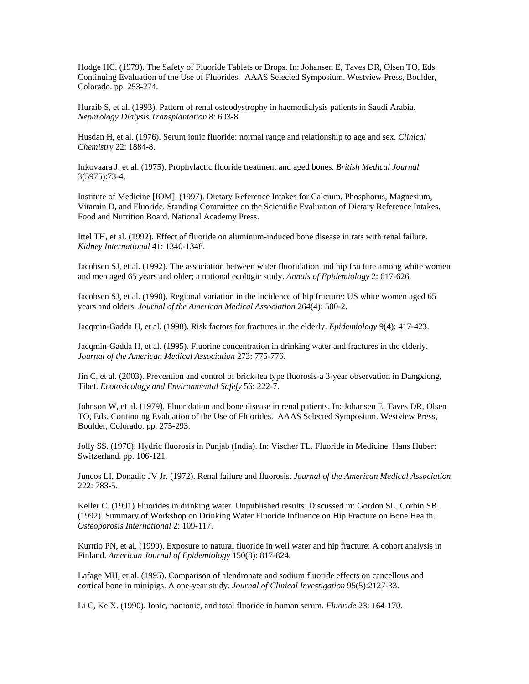Hodge HC. (1979). The Safety of Fluoride Tablets or Drops. In: Johansen E, Taves DR, Olsen TO, Eds. Continuing Evaluation of the Use of Fluorides. AAAS Selected Symposium. Westview Press, Boulder, Colorado. pp. 253-274.

Huraib S, et al. (1993). Pattern of renal osteodystrophy in haemodialysis patients in Saudi Arabia. *Nephrology Dialysis Transplantation* 8: 603-8.

Husdan H, et al. (1976). Serum ionic fluoride: normal range and relationship to age and sex. *Clinical Chemistry* 22: 1884-8.

Inkovaara J, et al. (1975). Prophylactic fluoride treatment and aged bones. *British Medical Journal* 3(5975):73-4.

Institute of Medicine [IOM]. (1997). Dietary Reference Intakes for Calcium, Phosphorus, Magnesium, Vitamin D, and Fluoride. Standing Committee on the Scientific Evaluation of Dietary Reference Intakes, Food and Nutrition Board. National Academy Press.

Ittel TH, et al. (1992). Effect of fluoride on aluminum-induced bone disease in rats with renal failure. *Kidney International* 41: 1340-1348.

Jacobsen SJ, et al. (1992). The association between water fluoridation and hip fracture among white women and men aged 65 years and older; a national ecologic study. *Annals of Epidemiology* 2: 617-626.

Jacobsen SJ, et al. (1990). Regional variation in the incidence of hip fracture: US white women aged 65 years and olders. *Journal of the American Medical Association* 264(4): 500-2.

Jacqmin-Gadda H, et al. (1998). Risk factors for fractures in the elderly. *Epidemiology* 9(4): 417-423.

Jacqmin-Gadda H, et al. (1995). Fluorine concentration in drinking water and fractures in the elderly. *Journal of the American Medical Association* 273: 775-776.

Jin C, et al. (2003). Prevention and control of brick-tea type fluorosis-a 3-year observation in Dangxiong, Tibet. *Ecotoxicology and Environmental Safefy* 56: 222-7.

Johnson W, et al. (1979). Fluoridation and bone disease in renal patients. In: Johansen E, Taves DR, Olsen TO, Eds. Continuing Evaluation of the Use of Fluorides. AAAS Selected Symposium. Westview Press, Boulder, Colorado. pp. 275-293.

Jolly SS. (1970). Hydric fluorosis in Punjab (India). In: Vischer TL. Fluoride in Medicine. Hans Huber: Switzerland. pp. 106-121.

Juncos LI, Donadio JV Jr. (1972). Renal failure and fluorosis. *Journal of the American Medical Association* 222: 783-5.

Keller C. (1991) Fluorides in drinking water. Unpublished results. Discussed in: Gordon SL, Corbin SB. (1992). Summary of Workshop on Drinking Water Fluoride Influence on Hip Fracture on Bone Health. *Osteoporosis International* 2: 109-117.

Kurttio PN, et al. (1999). Exposure to natural fluoride in well water and hip fracture: A cohort analysis in Finland. *American Journal of Epidemiology* 150(8): 817-824.

Lafage MH, et al. (1995). Comparison of alendronate and sodium fluoride effects on cancellous and cortical bone in minipigs. A one-year study*. Journal of Clinical Investigation* 95(5):2127-33.

Li C, Ke X. (1990). Ionic, nonionic, and total fluoride in human serum. *Fluoride* 23: 164-170.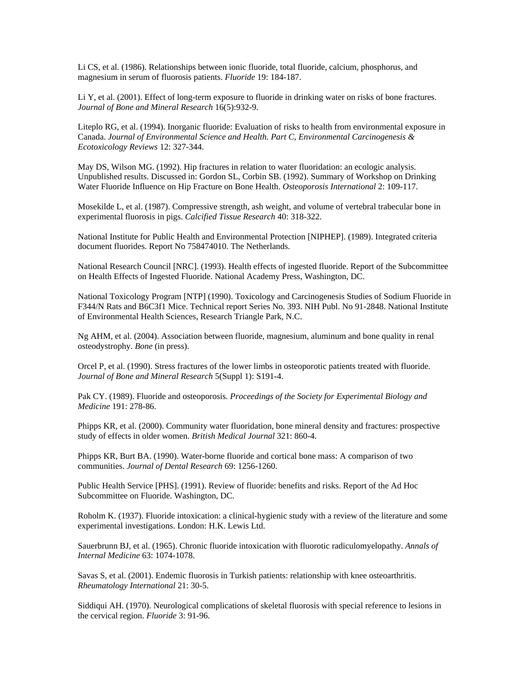Li CS, et al. (1986). Relationships between ionic fluoride, total fluoride, calcium, phosphorus, and magnesium in serum of fluorosis patients. *Fluoride* 19: 184-187.

Li Y, et al. (2001). Effect of long-term exposure to fluoride in drinking water on risks of bone fractures. *Journal of Bone and Mineral Research* 16(5):932-9.

Liteplo RG, et al. (1994). Inorganic fluoride: Evaluation of risks to health from environmental exposure in Canada. *Journal of Environmental Science and Health. Part C, Environmental Carcinogenesis & Ecotoxicology Reviews* 12: 327-344.

May DS, Wilson MG. (1992). Hip fractures in relation to water fluoridation: an ecologic analysis. Unpublished results. Discussed in: Gordon SL, Corbin SB. (1992). Summary of Workshop on Drinking Water Fluoride Influence on Hip Fracture on Bone Health. *Osteoporosis International* 2: 109-117.

Mosekilde L, et al. (1987). Compressive strength, ash weight, and volume of vertebral trabecular bone in experimental fluorosis in pigs. *Calcified Tissue Research* 40: 318-322.

National Institute for Public Health and Environmental Protection [NIPHEP]. (1989). Integrated criteria document fluorides. Report No 758474010. The Netherlands.

National Research Council [NRC]. (1993). Health effects of ingested fluoride. Report of the Subcommittee on Health Effects of Ingested Fluoride. National Academy Press, Washington, DC.

National Toxicology Program [NTP] (1990). Toxicology and Carcinogenesis Studies of Sodium Fluoride in F344/N Rats and B6C3f1 Mice. Technical report Series No. 393. NIH Publ. No 91-2848. National Institute of Environmental Health Sciences, Research Triangle Park, N.C.

Ng AHM, et al. (2004). Association between fluoride, magnesium, aluminum and bone quality in renal osteodystrophy. *Bone* (in press).

Orcel P, et al. (1990). Stress fractures of the lower limbs in osteoporotic patients treated with fluoride. *Journal of Bone and Mineral Research* 5(Suppl 1): S191-4.

Pak CY. (1989). Fluoride and osteoporosis*. Proceedings of the Society for Experimental Biology and Medicine* 191: 278-86.

Phipps KR, et al. (2000). Community water fluoridation, bone mineral density and fractures: prospective study of effects in older women. *British Medical Journal* 321: 860-4.

Phipps KR, Burt BA. (1990). Water-borne fluoride and cortical bone mass: A comparison of two communities. *Journal of Dental Research* 69: 1256-1260.

Public Health Service [PHS]. (1991). Review of fluoride: benefits and risks. Report of the Ad Hoc Subcommittee on Fluoride. Washington, DC.

Roholm K. (1937). Fluoride intoxication: a clinical-hygienic study with a review of the literature and some experimental investigations. London: H.K. Lewis Ltd.

Sauerbrunn BJ, et al. (1965). Chronic fluoride intoxication with fluorotic radiculomyelopathy. *Annals of Internal Medicine* 63: 1074-1078.

Savas S, et al. (2001). Endemic fluorosis in Turkish patients: relationship with knee osteoarthritis. *Rheumatology International* 21: 30-5.

Siddiqui AH. (1970). Neurological complications of skeletal fluorosis with special reference to lesions in the cervical region. *Fluoride* 3: 91-96.